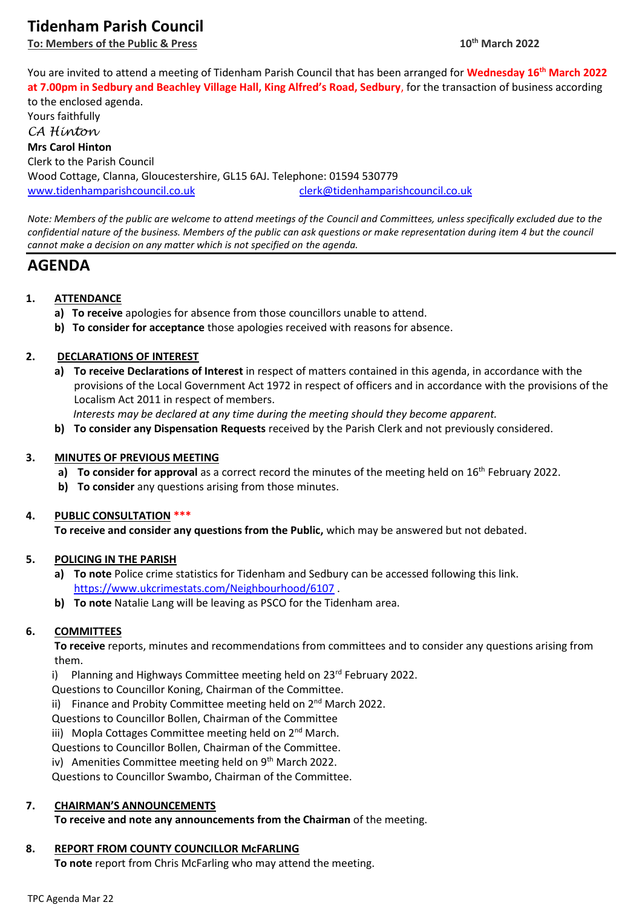# **Tidenham Parish Council**

**To: Members of the Public & Press** 

You are invited to attend a meeting of Tidenham Parish Council that has been arranged for **Wednesday 16 th March 2022 at 7.00pm in Sedbury and Beachley Village Hall, King Alfred's Road, Sedbury**, for the transaction of business according

to the enclosed agenda. Yours faithfully *CA Hinton* **Mrs Carol Hinton** Clerk to the Parish Council Wood Cottage, Clanna, Gloucestershire, GL15 6AJ. Telephone: 01594 530779 [www.tidenhamparishcouncil.co.uk](http://www.tidenhamparishcouncil.co.uk/) [clerk@tidenhamparishcouncil.co.uk](mailto:clerk@tidenhamparishcouncil.co.uk)

*Note: Members of the public are welcome to attend meetings of the Council and Committees, unless specifically excluded due to the confidential nature of the business. Members of the public can ask questions or make representation during item 4 but the council cannot make a decision on any matter which is not specified on the agenda.*

## **AGENDA**

## **1. ATTENDANCE**

- **a) To receive** apologies for absence from those councillors unable to attend.
- **b) To consider for acceptance** those apologies received with reasons for absence.

## **2. DECLARATIONS OF INTEREST**

**a) To receive Declarations of Interest** in respect of matters contained in this agenda, in accordance with the provisions of the Local Government Act 1972 in respect of officers and in accordance with the provisions of the Localism Act 2011 in respect of members.

 *Interests may be declared at any time during the meeting should they become apparent.*

**b) To consider any Dispensation Requests** received by the Parish Clerk and not previously considered.

## **3. MINUTES OF PREVIOUS MEETING**

- a) To consider for approval as a correct record the minutes of the meeting held on 16<sup>th</sup> February 2022.
- **b) To consider** any questions arising from those minutes.

## **4. PUBLIC CONSULTATION \*\*\***

**To receive and consider any questions from the Public,** which may be answered but not debated.

## **5. POLICING IN THE PARISH**

- **a) To note** Police crime statistics for Tidenham and Sedbury can be accessed following this link. <https://www.ukcrimestats.com/Neighbourhood/6107> .
- **b) To note** Natalie Lang will be leaving as PSCO for the Tidenham area.

## **6. COMMITTEES**

**To receive** reports, minutes and recommendations from committees and to consider any questions arising from them.

i) Planning and Highways Committee meeting held on 23<sup>rd</sup> February 2022.

Questions to Councillor Koning, Chairman of the Committee.

ii) Finance and Probity Committee meeting held on 2<sup>nd</sup> March 2022.

Questions to Councillor Bollen, Chairman of the Committee

iii) Mopla Cottages Committee meeting held on 2<sup>nd</sup> March.

Questions to Councillor Bollen, Chairman of the Committee.

iv) Amenities Committee meeting held on 9<sup>th</sup> March 2022.

Questions to Councillor Swambo, Chairman of the Committee.

## **7. CHAIRMAN'S ANNOUNCEMENTS**

**To receive and note any announcements from the Chairman** of the meeting.

## **8. REPORT FROM COUNTY COUNCILLOR McFARLING**

**To note** report from Chris McFarling who may attend the meeting.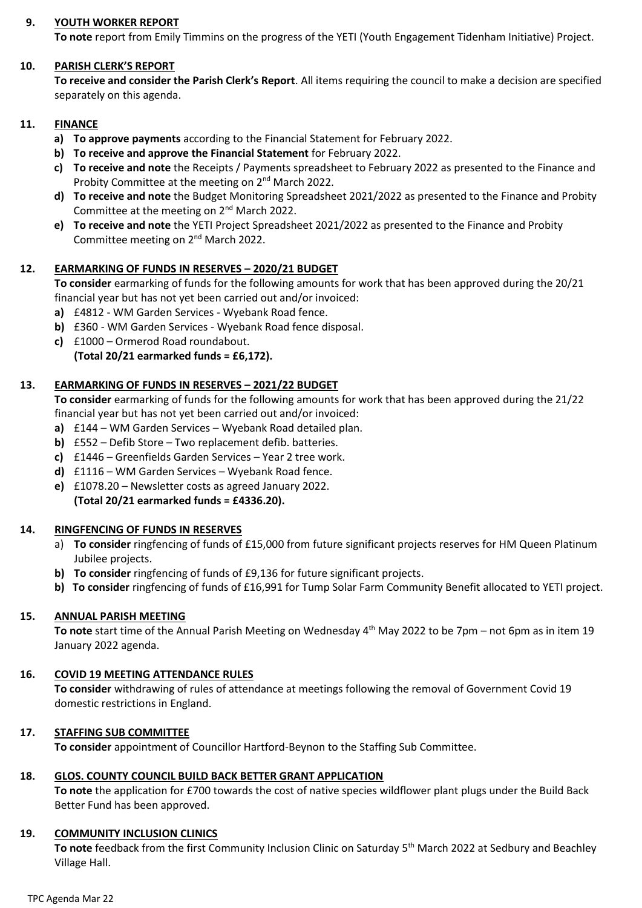## **9. YOUTH WORKER REPORT**

**To note** report from Emily Timmins on the progress of the YETI (Youth Engagement Tidenham Initiative) Project.

#### **10. PARISH CLERK'S REPORT**

**To receive and consider the Parish Clerk's Report**. All items requiring the council to make a decision are specified separately on this agenda.

## **11. FINANCE**

- **a) To approve payments** according to the Financial Statement for February 2022.
- **b) To receive and approve the Financial Statement** for February 2022.
- **c) To receive and note** the Receipts / Payments spreadsheet to February 2022 as presented to the Finance and Probity Committee at the meeting on 2<sup>nd</sup> March 2022.
- **d) To receive and note** the Budget Monitoring Spreadsheet 2021/2022 as presented to the Finance and Probity Committee at the meeting on 2nd March 2022.
- **e) To receive and note** the YETI Project Spreadsheet 2021/2022 as presented to the Finance and Probity Committee meeting on 2nd March 2022.

## **12. EARMARKING OF FUNDS IN RESERVES – 2020/21 BUDGET**

**To consider** earmarking of funds for the following amounts for work that has been approved during the 20/21 financial year but has not yet been carried out and/or invoiced:

- **a)** £4812 WM Garden Services Wyebank Road fence.
- **b)** £360 WM Garden Services Wyebank Road fence disposal.
- **c)** £1000 Ormerod Road roundabout. **(Total 20/21 earmarked funds = £6,172).**

## **13. EARMARKING OF FUNDS IN RESERVES – 2021/22 BUDGET**

**To consider** earmarking of funds for the following amounts for work that has been approved during the 21/22 financial year but has not yet been carried out and/or invoiced:

- **a)** £144 WM Garden Services Wyebank Road detailed plan.
- **b)** £552 Defib Store Two replacement defib. batteries.
- **c)** £1446 Greenfields Garden Services Year 2 tree work.
- **d)** £1116 WM Garden Services Wyebank Road fence.
- **e)** £1078.20 Newsletter costs as agreed January 2022. **(Total 20/21 earmarked funds = £4336.20).**

#### **14. RINGFENCING OF FUNDS IN RESERVES**

- a) **To consider** ringfencing of funds of £15,000 from future significant projects reserves for HM Queen Platinum Jubilee projects.
- **b) To consider** ringfencing of funds of £9,136 for future significant projects.
- **b) To consider** ringfencing of funds of £16,991 for Tump Solar Farm Community Benefit allocated to YETI project.

#### **15. ANNUAL PARISH MEETING**

To note start time of the Annual Parish Meeting on Wednesday 4<sup>th</sup> May 2022 to be 7pm – not 6pm as in item 19 January 2022 agenda.

#### **16. COVID 19 MEETING ATTENDANCE RULES**

**To consider** withdrawing of rules of attendance at meetings following the removal of Government Covid 19 domestic restrictions in England.

#### **17. STAFFING SUB COMMITTEE**

**To consider** appointment of Councillor Hartford-Beynon to the Staffing Sub Committee.

#### **18. GLOS. COUNTY COUNCIL BUILD BACK BETTER GRANT APPLICATION**

**To note** the application for £700 towards the cost of native species wildflower plant plugs under the Build Back Better Fund has been approved.

#### **19. COMMUNITY INCLUSION CLINICS**

To note feedback from the first Community Inclusion Clinic on Saturday 5<sup>th</sup> March 2022 at Sedbury and Beachley Village Hall.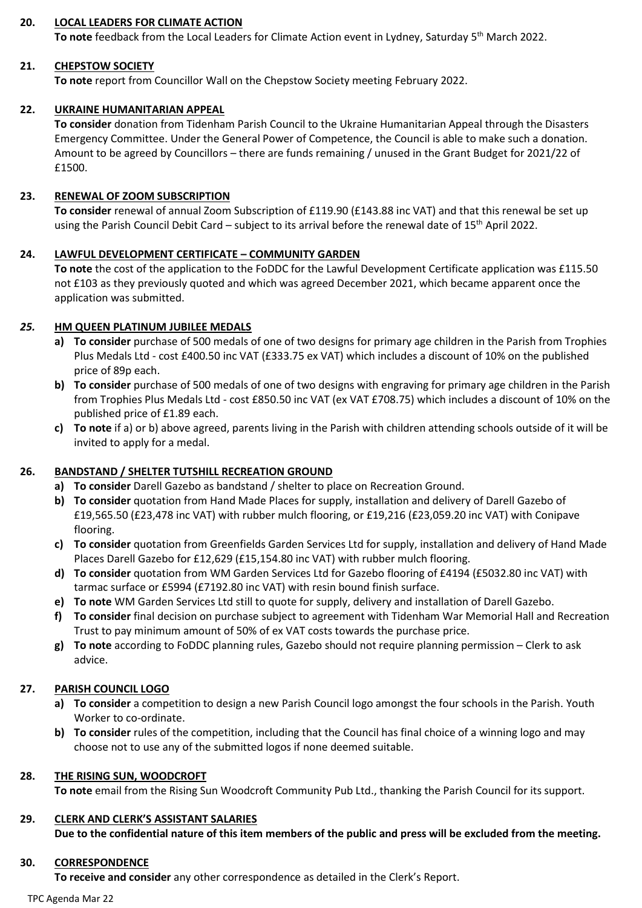## **20. LOCAL LEADERS FOR CLIMATE ACTION**

**To note** feedback from the Local Leaders for Climate Action event in Lydney, Saturday 5th March 2022.

#### **21. CHEPSTOW SOCIETY**

**To note** report from Councillor Wall on the Chepstow Society meeting February 2022.

## **22. UKRAINE HUMANITARIAN APPEAL**

**To consider** donation from Tidenham Parish Council to the Ukraine Humanitarian Appeal through the Disasters Emergency Committee. Under the General Power of Competence, the Council is able to make such a donation. Amount to be agreed by Councillors – there are funds remaining / unused in the Grant Budget for 2021/22 of £1500.

#### **23. RENEWAL OF ZOOM SUBSCRIPTION**

**To consider** renewal of annual Zoom Subscription of £119.90 (£143.88 inc VAT) and that this renewal be set up using the Parish Council Debit Card – subject to its arrival before the renewal date of 15<sup>th</sup> April 2022.

#### **24. LAWFUL DEVELOPMENT CERTIFICATE – COMMUNITY GARDEN**

**To note** the cost of the application to the FoDDC for the Lawful Development Certificate application was £115.50 not £103 as they previously quoted and which was agreed December 2021, which became apparent once the application was submitted.

## *25.* **HM QUEEN PLATINUM JUBILEE MEDALS**

- **a) To consider** purchase of 500 medals of one of two designs for primary age children in the Parish from Trophies Plus Medals Ltd - cost £400.50 inc VAT (£333.75 ex VAT) which includes a discount of 10% on the published price of 89p each.
- **b) To consider** purchase of 500 medals of one of two designs with engraving for primary age children in the Parish from Trophies Plus Medals Ltd - cost £850.50 inc VAT (ex VAT £708.75) which includes a discount of 10% on the published price of £1.89 each.
- **c) To note** if a) or b) above agreed, parents living in the Parish with children attending schools outside of it will be invited to apply for a medal.

## **26. BANDSTAND / SHELTER TUTSHILL RECREATION GROUND**

- **a) To consider** Darell Gazebo as bandstand / shelter to place on Recreation Ground.
- **b) To consider** quotation from Hand Made Places for supply, installation and delivery of Darell Gazebo of £19,565.50 (£23,478 inc VAT) with rubber mulch flooring, or £19,216 (£23,059.20 inc VAT) with Conipave flooring.
- **c) To consider** quotation from Greenfields Garden Services Ltd for supply, installation and delivery of Hand Made Places Darell Gazebo for £12,629 (£15,154.80 inc VAT) with rubber mulch flooring.
- **d) To consider** quotation from WM Garden Services Ltd for Gazebo flooring of £4194 (£5032.80 inc VAT) with tarmac surface or £5994 (£7192.80 inc VAT) with resin bound finish surface.
- **e) To note** WM Garden Services Ltd still to quote for supply, delivery and installation of Darell Gazebo.
- **f) To consider** final decision on purchase subject to agreement with Tidenham War Memorial Hall and Recreation Trust to pay minimum amount of 50% of ex VAT costs towards the purchase price.
- **g) To note** according to FoDDC planning rules, Gazebo should not require planning permission Clerk to ask advice.

#### **27. PARISH COUNCIL LOGO**

- **a) To consider** a competition to design a new Parish Council logo amongst the four schools in the Parish. Youth Worker to co-ordinate.
- **b) To consider** rules of the competition, including that the Council has final choice of a winning logo and may choose not to use any of the submitted logos if none deemed suitable.

#### **28. THE RISING SUN, WOODCROFT**

**To note** email from the Rising Sun Woodcroft Community Pub Ltd., thanking the Parish Council for its support.

## **29. CLERK AND CLERK'S ASSISTANT SALARIES**

**Due to the confidential nature of this item members of the public and press will be excluded from the meeting.**

#### **30. CORRESPONDENCE**

**To receive and consider** any other correspondence as detailed in the Clerk's Report.